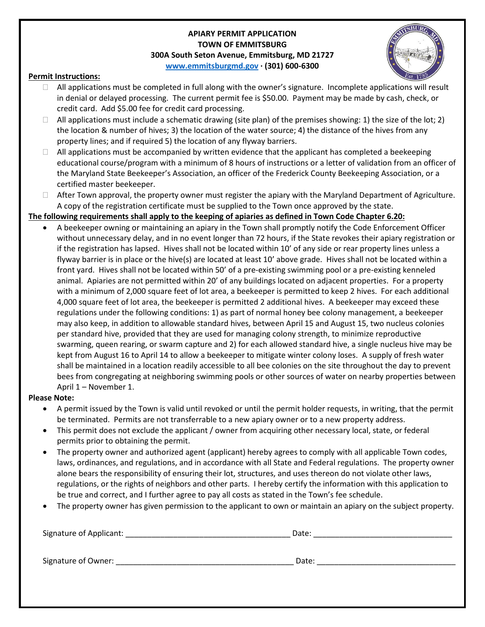## **APIARY PERMIT APPLICATION TOWN OF EMMITSBURG 300A South Seton Avenue, Emmitsburg, MD 21727 [www.emmitsburgmd.gov](http://www.emmitsburgmd.gov/) · (301) 600-6300**



## **Permit Instructions:**

- $\Box$  All applications must be completed in full along with the owner's signature. Incomplete applications will result in denial or delayed processing. The current permit fee is \$50.00. Payment may be made by cash, check, or credit card. Add \$5.00 fee for credit card processing.
- $\Box$  All applications must include a schematic drawing (site plan) of the premises showing: 1) the size of the lot; 2) the location & number of hives; 3) the location of the water source; 4) the distance of the hives from any property lines; and if required 5) the location of any flyway barriers.
- $\Box$  All applications must be accompanied by written evidence that the applicant has completed a beekeeping educational course/program with a minimum of 8 hours of instructions or a letter of validation from an officer of the Maryland State Beekeeper's Association, an officer of the Frederick County Beekeeping Association, or a certified master beekeeper.
- $\Box$  After Town approval, the property owner must register the apiary with the Maryland Department of Agriculture. A copy of the registration certificate must be supplied to the Town once approved by the state.

## **The following requirements shall apply to the keeping of apiaries as defined in Town Code Chapter 6.20:**

 A beekeeper owning or maintaining an apiary in the Town shall promptly notify the Code Enforcement Officer without unnecessary delay, and in no event longer than 72 hours, if the State revokes their apiary registration or if the registration has lapsed. Hives shall not be located within 10' of any side or rear property lines unless a flyway barrier is in place or the hive(s) are located at least 10' above grade. Hives shall not be located within a front yard. Hives shall not be located within 50' of a pre-existing swimming pool or a pre-existing kenneled animal. Apiaries are not permitted within 20' of any buildings located on adjacent properties. For a property with a minimum of 2,000 square feet of lot area, a beekeeper is permitted to keep 2 hives. For each additional 4,000 square feet of lot area, the beekeeper is permitted 2 additional hives. A beekeeper may exceed these regulations under the following conditions: 1) as part of normal honey bee colony management, a beekeeper may also keep, in addition to allowable standard hives, between April 15 and August 15, two nucleus colonies per standard hive, provided that they are used for managing colony strength, to minimize reproductive swarming, queen rearing, or swarm capture and 2) for each allowed standard hive, a single nucleus hive may be kept from August 16 to April 14 to allow a beekeeper to mitigate winter colony loses. A supply of fresh water shall be maintained in a location readily accessible to all bee colonies on the site throughout the day to prevent bees from congregating at neighboring swimming pools or other sources of water on nearby properties between April 1 – November 1.

## **Please Note:**

- A permit issued by the Town is valid until revoked or until the permit holder requests, in writing, that the permit be terminated. Permits are not transferrable to a new apiary owner or to a new property address.
- This permit does not exclude the applicant / owner from acquiring other necessary local, state, or federal permits prior to obtaining the permit.
- The property owner and authorized agent (applicant) hereby agrees to comply with all applicable Town codes, laws, ordinances, and regulations, and in accordance with all State and Federal regulations. The property owner alone bears the responsibility of ensuring their lot, structures, and uses thereon do not violate other laws, regulations, or the rights of neighbors and other parts. I hereby certify the information with this application to be true and correct, and I further agree to pay all costs as stated in the Town's fee schedule.
- The property owner has given permission to the applicant to own or maintain an apiary on the subject property.

| Signature of Applicant: | Date: |
|-------------------------|-------|
| Signature of Owner:     | Date: |
|                         |       |